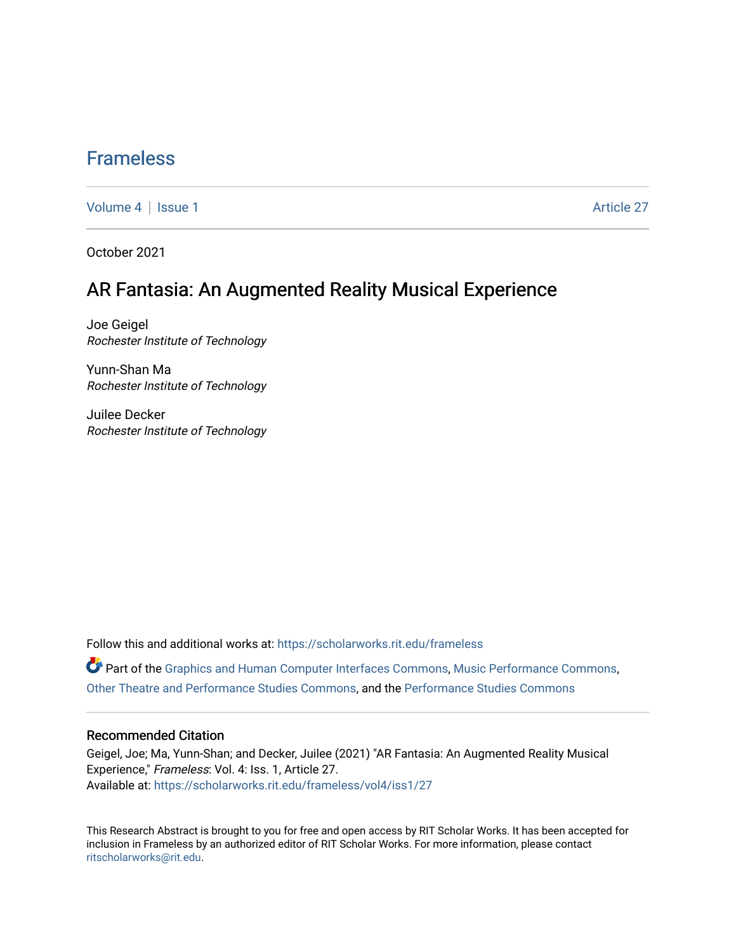## [Frameless](https://scholarworks.rit.edu/frameless)

[Volume 4](https://scholarworks.rit.edu/frameless/vol4) | [Issue 1](https://scholarworks.rit.edu/frameless/vol4/iss1) Article 27

October 2021

### AR Fantasia: An Augmented Reality Musical Experience

Joe Geigel Rochester Institute of Technology

Yunn-Shan Ma Rochester Institute of Technology

Juilee Decker Rochester Institute of Technology

Follow this and additional works at: [https://scholarworks.rit.edu/frameless](https://scholarworks.rit.edu/frameless?utm_source=scholarworks.rit.edu%2Fframeless%2Fvol4%2Fiss1%2F27&utm_medium=PDF&utm_campaign=PDFCoverPages)

Part of the [Graphics and Human Computer Interfaces Commons,](https://network.bepress.com/hgg/discipline/146?utm_source=scholarworks.rit.edu%2Fframeless%2Fvol4%2Fiss1%2F27&utm_medium=PDF&utm_campaign=PDFCoverPages) [Music Performance Commons](https://network.bepress.com/hgg/discipline/1128?utm_source=scholarworks.rit.edu%2Fframeless%2Fvol4%2Fiss1%2F27&utm_medium=PDF&utm_campaign=PDFCoverPages), [Other Theatre and Performance Studies Commons,](https://network.bepress.com/hgg/discipline/558?utm_source=scholarworks.rit.edu%2Fframeless%2Fvol4%2Fiss1%2F27&utm_medium=PDF&utm_campaign=PDFCoverPages) and the [Performance Studies Commons](https://network.bepress.com/hgg/discipline/556?utm_source=scholarworks.rit.edu%2Fframeless%2Fvol4%2Fiss1%2F27&utm_medium=PDF&utm_campaign=PDFCoverPages) 

#### Recommended Citation

Geigel, Joe; Ma, Yunn-Shan; and Decker, Juilee (2021) "AR Fantasia: An Augmented Reality Musical Experience," Frameless: Vol. 4: Iss. 1, Article 27. Available at: [https://scholarworks.rit.edu/frameless/vol4/iss1/27](https://scholarworks.rit.edu/frameless/vol4/iss1/27?utm_source=scholarworks.rit.edu%2Fframeless%2Fvol4%2Fiss1%2F27&utm_medium=PDF&utm_campaign=PDFCoverPages) 

This Research Abstract is brought to you for free and open access by RIT Scholar Works. It has been accepted for inclusion in Frameless by an authorized editor of RIT Scholar Works. For more information, please contact [ritscholarworks@rit.edu](mailto:ritscholarworks@rit.edu).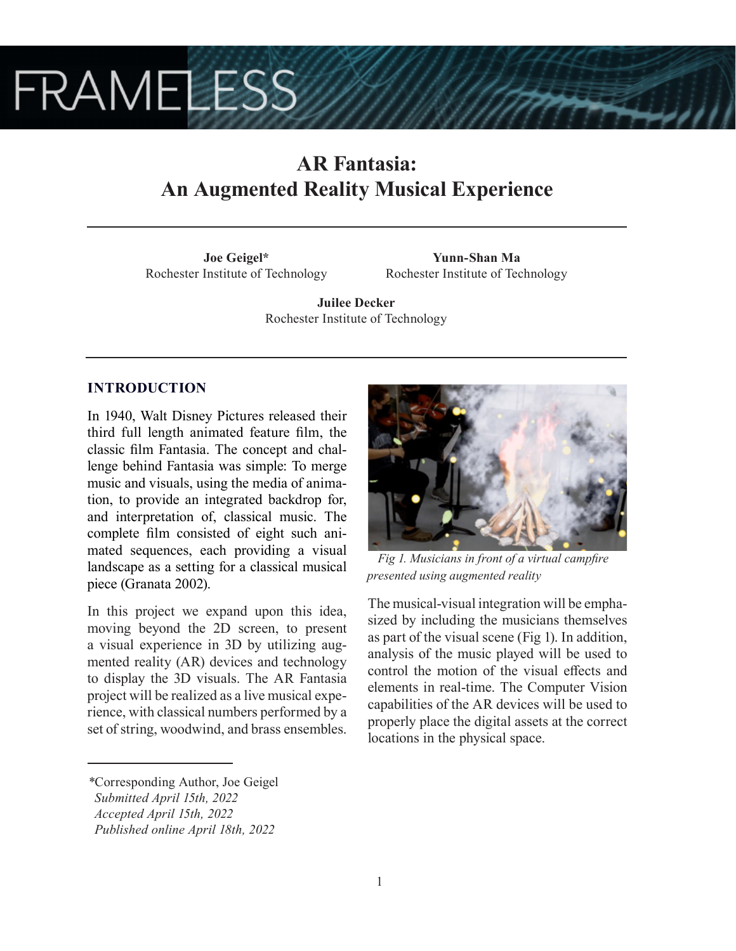# **FRAMELESS**

# **AR Fantasia: An Augmented Reality Musical Experience**

**Joe Geigel\*** Rochester Institute of Technology

**Yunn-Shan Ma** Rochester Institute of Technology

**Juilee Decker** Rochester Institute of Technology

#### **INTRODUCTION**

In 1940, Walt Disney Pictures released their third full length animated feature film, the classic film Fantasia. The concept and challenge behind Fantasia was simple: To merge music and visuals, using the media of animation, to provide an integrated backdrop for, and interpretation of, classical music. The complete film consisted of eight such animated sequences, each providing a visual landscape as a setting for a classical musical piece (Granata 2002).

In this project we expand upon this idea, moving beyond the 2D screen, to present a visual experience in 3D by utilizing augmented reality (AR) devices and technology to display the 3D visuals. The AR Fantasia project will be realized as a live musical experience, with classical numbers performed by a set of string, woodwind, and brass ensembles.



*Fig 1. Musicians in front of a virtual campfire presented using augmented reality*

The musical-visual integration will be emphasized by including the musicians themselves as part of the visual scene (Fig 1). In addition, analysis of the music played will be used to control the motion of the visual effects and elements in real-time. The Computer Vision capabilities of the AR devices will be used to properly place the digital assets at the correct locations in the physical space.

*<sup>\*</sup>*Corresponding Author, Joe Geigel

*Submitted April 15th, 2022*

*Accepted April 15th, 2022*

*Published online April 18th, 2022*